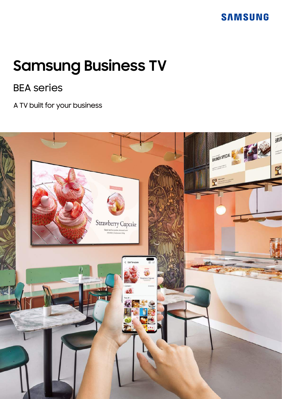# **Samsung Business TV**

# BEA series

A TV built for your business

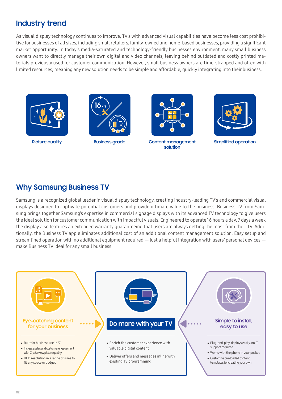## **Industry trend**

As visual display technology continues to improve, TV's with advanced visual capabilities have become less cost prohibitive for businesses of all sizes, including small retailers, family-owned and home-based businesses, providing a significant market opportunity. In today's media-saturated and technology-friendly businesses environment, many small business owners want to directly manage their own digital and video channels, leaving behind outdated and costly printed materials previously used for customer communication. However, small business owners are time-strapped and often with limited resources, meaning any new solution needs to be simple and affordable, quickly integrating into their business.







Picture quality **Business grade Content management solution**



**Simplified operation**

### **Why Samsung Business TV**

Samsung is a recognized global leader in visual display technology, creating industry-leading TV's and commercial visual displays designed to captivate potential customers and provide ultimate value to the business. Business TV from Samsung brings together Samsung's expertise in commercial signage displays with its advanced TV technology to give users the ideal solution for customer communication with impactful visuals. Engineered to operate 16 hours a day, 7 days a week the display also features an extended warranty guaranteeing that users are always getting the most from their TV. Additionally, the Business TV app eliminates additional cost of an additional content management solution. Easy setup and streamlined operation with no additional equipment required  $-$  just a helpful integration with users' personal devices  $$ make Business TV ideal for any small business.

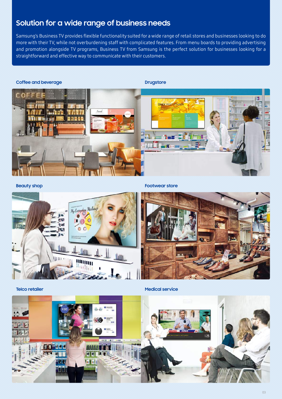# **Solution for a wide range of business needs**

Samsung's Business TV provides flexible functionality suited for a wide range of retail stores and businesses looking to do more with their TV, while not overburdening staff with complicated features. From menu boards to providing advertising and promotion alongside TV programs, Business TV from Samsung is the perfect solution for businesses looking for a straightforward and effective way to communicate with their customers.



**Beauty shop**

**Footwear store**



**Telco retailer**

**Medical service** 

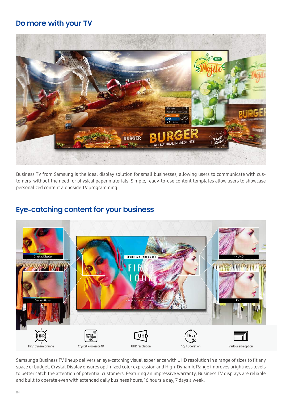# **Do more with your TV**



Business TV from Samsung is the ideal display solution for small businesses, allowing users to communicate with customers without the need for physical paper materials. Simple, ready-to-use content templates allow users to showcase personalized content alongside TV programming.

# **Eye-catching content for your business**



Samsung's Business TV lineup delivers an eye-catching visual experience with UHD resolution in a range of sizes to fit any space or budget. Crystal Display ensures optimized color expression and High-Dynamic Range improves brightness levels to better catch the attention of potential customers. Featuring an impressive warranty, Business TV displays are reliable and built to operate even with extended daily business hours, 16 hours a day, 7 days a week.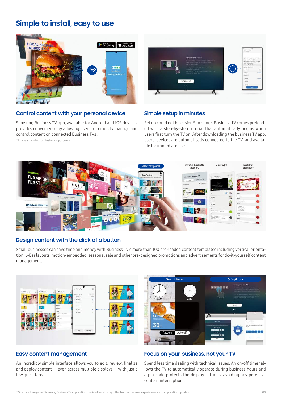### **Simple to install, easy to use**



#### **Control content with your personal device**

\* Image simulated for illustration purposes

Samsung Business TV app, available for Android and iOS devices, provides convenience by allowing users to remotely manage and control content on connected Business TVs .



#### **Simple setup in minutes**

Set up could not be easier. Samsung's Business TV comes preloaded with a step-by-step tutorial that automatically begins when users first turn the TV on. After downloading the business TV app, users' devices are automatically connected to the TV and available for immediate use.



#### **Design content with the click of a button**

Small businesses can save time and money with Business TV's more than 100 pre-loaded content templates including vertical orientation, L-Bar layouts, motion-embedded, seasonal sale and other pre-designed promotions and advertisements for do-it-yourself content management.





#### **Easy content management**

An incredibly simple interface allows you to edit, review, finalize and deploy content — even across multiple displays — with just a few quick taps.

#### **Focus on your business, not your TV**

Spend less time dealing with technical issues. An on/off timer allows the TV to automatically operate during business hours and a pin-code protects the display settings, avoiding any potential content interruptions.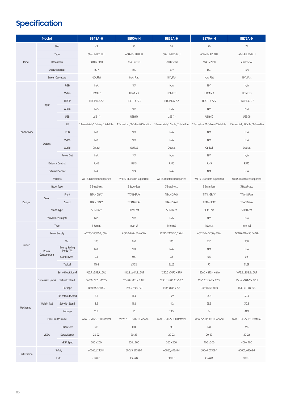# **Specification**

| Model         |                         |                           | <b>BE43A-H</b>               | BE50A-H                     | BE55A-H                                                                                                                                             | BE70A-H                     | BE75A-H                               |
|---------------|-------------------------|---------------------------|------------------------------|-----------------------------|-----------------------------------------------------------------------------------------------------------------------------------------------------|-----------------------------|---------------------------------------|
| Panel         | Size                    |                           | 43                           | 50                          | 55                                                                                                                                                  | 70                          | 75                                    |
|               | Type                    |                           | 60Hz E-LED BLU               | 60Hz E-LED BLU              | 60Hz E-LED BLU                                                                                                                                      | 60Hz E-LED BLU              | 60Hz E-LED BLU                        |
|               | Resolution              |                           | 3840 x 2160                  | 3840 x 2160                 | 3840 x 2160                                                                                                                                         | 3840 x 2160                 | 3840 x 2160                           |
|               | <b>Operation Hour</b>   |                           | 16/7                         | 16/7                        | 16/7                                                                                                                                                | 16/7                        | 16/7                                  |
|               | Screen Curvature        |                           | N/A, Flat                    | N/A, Flat                   | N/A, Flat                                                                                                                                           | N/A, Flat                   | N/A, Flat                             |
| Connectivity  | Input                   | <b>RGB</b>                | N/A                          | N/A                         | N/A                                                                                                                                                 | N/A                         | N/A                                   |
|               |                         | Video                     | HDMI x 3                     | HDMI x 3                    | HDMI x 3                                                                                                                                            | HDMIx3                      | HDMI x 3                              |
|               |                         | <b>HDCP</b>               | HDCP1.4/2.2                  | HDCP1.4/2.2                 | HDCP1.4/2.2                                                                                                                                         | HDCP1.4/2.2                 | HDCP1.4/2.2                           |
|               |                         | Audio                     | N/A                          | N/A                         | N/A                                                                                                                                                 | N/A                         | N/A                                   |
|               |                         | <b>USB</b>                | USB(1)                       | USB(1)                      | USB(1)                                                                                                                                              | USB(1)                      | USB(1)                                |
|               |                         | RF                        |                              |                             | 1 Terrestrial /1 Cable / 0 Satellite 1 Terrestrial /1 Cable / 0 Satellite 1 Terrestrial /1 Cable / 0 Satellite 1 Terrestrial /1 Cable / 0 Satellite |                             | 1 Terrestrial / 1 Cable / 0 Satellite |
|               | Output                  | <b>RGB</b>                | N/A                          | N/A                         | N/A                                                                                                                                                 | N/A                         | N/A                                   |
|               |                         | Video                     | N/A                          | N/A                         | N/A                                                                                                                                                 | N/A                         | N/A                                   |
|               |                         | Audio                     | Optical                      | Optical                     | Optical                                                                                                                                             | Optical                     | Optical                               |
|               |                         | PowerOut                  | N/A                          | N/A                         | N/A                                                                                                                                                 | N/A                         | N/A                                   |
|               | <b>External Control</b> |                           | <b>RJ45</b>                  | <b>RJ45</b>                 | <b>RJ45</b>                                                                                                                                         | <b>RJ45</b>                 | <b>RJ45</b>                           |
|               | <b>External Sensor</b>  |                           | N/A                          | N/A                         | N/A                                                                                                                                                 | N/A                         | N/A                                   |
|               | Wireless                |                           | WiFi 5, Bluetooth supported  | WiFi 5, Bluetooth supported | WiFi 5, Bluetooth supported                                                                                                                         | WiFi 5, Bluetooth supported | WiFi 5, Bluetooth supported           |
|               | <b>Bezel Type</b>       |                           | 3 Bezel-less                 | 3 Bezel-less                | 3 Bezel-less                                                                                                                                        | 3 Bezel-less                | 3 Bezel-less                          |
| Design        | Color                   | Front                     | <b>TITAN GRAY</b>            | <b>TITAN GRAY</b>           | <b>TITAN GRAY</b>                                                                                                                                   | <b>TITAN GRAY</b>           | <b>TITAN GRAY</b>                     |
|               |                         | Stand                     | <b>TITAN GRAY</b>            | <b>TITAN GRAY</b>           | <b>TITAN GRAY</b>                                                                                                                                   | <b>TITAN GRAY</b>           | <b>TITAN GRAY</b>                     |
|               | <b>Stand Type</b>       |                           | <b>SLIM Feet</b>             | <b>SLIM Feet</b>            | <b>SLIM Feet</b>                                                                                                                                    | <b>SLIM Feet</b>            | <b>SLIM Feet</b>                      |
|               | Swivel (Left/Right)     |                           | N/A                          | N/A                         | N/A                                                                                                                                                 | N/A                         | N/A                                   |
|               | Type                    |                           | Internal                     | Internal                    | Internal                                                                                                                                            | Internal                    | Internal                              |
|               | Power Supply            |                           | AC220-240V 50 / 60Hz         | AC220-240V 50 / 60Hz        | AC220-240V 50 / 60Hz                                                                                                                                | AC220-240V 50 / 60Hz        | AC220-240V 50 / 60Hz                  |
|               | Power                   | Max                       | 125                          | 140                         | 145                                                                                                                                                 | 230                         | 250                                   |
| Power         |                         | Energy Saving<br>Mode (W) | N/A                          | N/A                         | N/A                                                                                                                                                 | N/A                         | $\rm N/A$                             |
|               | Consumption             | Stand-by(W)               | 0.5                          | 0.5                         | 0.5                                                                                                                                                 | 0.5                         | 0.5                                   |
|               |                         | Typical                   | 47.98                        | 63.32                       | 56.65                                                                                                                                               | $7\!7$                      | 71.59                                 |
|               | Dimension (mm)          | Set without Stand         | 963.9 x 558.9 x 59.6         | 1116.8 x 644.2 x 59.9       | 1230.5 x 707.2 x 59.9                                                                                                                               | 1556.2 x 895.4 x 61.6       | 1673.2 x 958.2 x 59.9                 |
|               |                         | Set with Stand            | 963.9 x 627.8 x 192.5        | 1116.8 x 719.1 x 250.2      | 1230.5 x 783.3 x 250.2                                                                                                                              | 1556.2 x 976.2 x 339.9      | 1673.2 x 1047.9 x 341.1               |
|               |                         | Package                   | 1081 x 670 x 143             | 1264 x 780 x 150            | 1386 x 843 x 158                                                                                                                                    | 1746 x 1035 x 190           | 1840 x 1118 x 198                     |
|               | Weight (kg)             | Set without Stand         | 8.1                          | 11.4                        | 13.9                                                                                                                                                | 24.8                        | 30.4                                  |
| Mechanical    |                         | Set with Stand            | 8.3                          | 11.6                        | 14.2                                                                                                                                                | 25.3                        | 30.8                                  |
|               |                         | Package                   | 11.8                         | 16                          | 19.5                                                                                                                                                | 34                          | 41.9                                  |
|               | Bezel Width (mm)        |                           | W/W: 5.5 (T/S) 11.1 (Bottom) | W/W: 5.5 (T/S)12.1 (Bottom) | W/W: 5.5 (T/S) 11.1 (Bottom)                                                                                                                        | W/W: 5.5 (T/S)11.1 (Bottom) | W/W: 5.5 (T/S)12.1 (Bottom)           |
|               | <b>VESA</b>             | <b>Screw Size</b>         | M8                           | M8                          | M8                                                                                                                                                  | M8                          | M8                                    |
|               |                         | Screw Depth               | $20 - 22$                    | $20 - 22$                   | $20 - 22$                                                                                                                                           | $20 - 22$                   | $20 - 22$                             |
|               |                         | <b>VESA Spec</b>          | 200 x 200                    | 200 x 200                   | 200 x 200                                                                                                                                           | 400 x 300                   | 400 x 400                             |
| Certification | Safety                  |                           | 60065, 62368-1               | 60065, 62368-1              | 60065, 62368-1                                                                                                                                      | 60065, 62368-1              | 60065, 62368-1                        |
|               | EMC                     |                           | Class B                      | Class B                     | Class B                                                                                                                                             | Class B                     | Class B                               |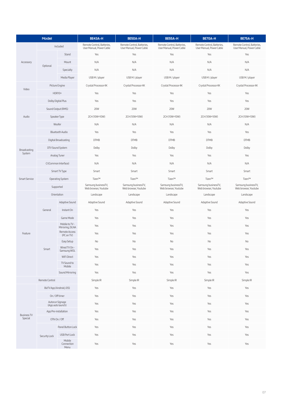| Model                         |                                      |                                   | BE43A-H                                                | BE50A-H                                                | BE55A-H                                                | BE70A-H                                                | BE75A-H                                                |
|-------------------------------|--------------------------------------|-----------------------------------|--------------------------------------------------------|--------------------------------------------------------|--------------------------------------------------------|--------------------------------------------------------|--------------------------------------------------------|
| Accessory                     | Included                             |                                   | Remote Control, Batteries,<br>User Manual, Power Cable | Remote Control, Batteries,<br>User Manual, Power Cable | Remote Control, Batteries,<br>User Manual, Power Cable | Remote Control, Batteries,<br>User Manual, Power Cable | Remote Control, Batteries,<br>User Manual, Power Cable |
|                               | Optional                             | Stand                             | Yes                                                    | Yes                                                    | Yes                                                    | Yes                                                    | Yes                                                    |
|                               |                                      | Mount                             | N/A                                                    | N/A                                                    | N/A                                                    | N/A                                                    | N/A                                                    |
|                               |                                      | Specialty                         | N/A                                                    | N/A                                                    | N/A                                                    | N/A                                                    | N/A                                                    |
|                               |                                      | Media Player                      | USB M / player                                         | USB M / player                                         | USB M / player                                         | USB M / player                                         | USB M / player                                         |
| Video                         | Picture Engine                       |                                   | Crystal Processor 4K                                   | Crystal Processor 4K                                   | Crystal Processor 4K                                   | Crystal Processor 4K                                   | Crystal Processor 4K                                   |
|                               | HDR10+                               |                                   | Yes                                                    | Yes                                                    | Yes                                                    | Yes                                                    | Yes                                                    |
| Audio                         | Dolby Digital Plus                   |                                   | Yes                                                    | Yes                                                    | Yes                                                    | Yes                                                    | Yes                                                    |
|                               | Sound Output (RMS)                   |                                   | <b>20W</b>                                             | <b>20W</b>                                             | <b>20W</b>                                             | <b>20W</b>                                             | <b>20W</b>                                             |
|                               | Speaker Type                         |                                   | 2CH (10W+10W)                                          | 2CH (10W+10W)                                          | 2CH (10W+10W)                                          | 2CH (10W+10W)                                          | 2CH (10W+10W)                                          |
|                               | Woofer                               |                                   | N/A                                                    | N/A                                                    | N/A                                                    | N/A                                                    | N/A                                                    |
|                               | <b>Bluetooth Audio</b>               |                                   | Yes                                                    | Yes                                                    | Yes                                                    | Yes                                                    | Yes                                                    |
| Broadcasting<br>System        | Digital Broadcasting                 |                                   | <b>DTMB</b>                                            | <b>DTMB</b>                                            | <b>DTMB</b>                                            | <b>DTMB</b>                                            | <b>DTMB</b>                                            |
|                               | DTV Sound System                     |                                   | Dolby                                                  | Dolby                                                  | Dolby                                                  | Dolby                                                  | Dolby                                                  |
|                               | Analog Tuner                         |                                   | Yes                                                    | Yes                                                    | Yes                                                    | Yes                                                    | Yes                                                    |
|                               | CI (Common Interface)                |                                   | N/A                                                    | N/A                                                    | N/A                                                    | N/A                                                    | N/A                                                    |
| Smart Service                 | Smart TV Type                        |                                   | Smart                                                  | Smart                                                  | Smart                                                  | Smart                                                  | Smart                                                  |
|                               | Operating System                     |                                   | Tizen™                                                 | Tizen™                                                 | Tizen™                                                 | Tizen™                                                 | Tizen™                                                 |
|                               | Supported                            |                                   | Samsung businessTV,<br>Web browser, Youtube            | Samsung businessTV,<br>Web browser, Youtube            | Samsung businessTV,<br>Web browser, Youtube            | Samsung businessTV,<br>Web browser, Youtube            | Samsung businessTV,<br>Web browser, Youtube            |
|                               | Orientation                          |                                   | Landscape                                              | Landscape                                              | Landscape                                              | Landscape                                              | Landscape                                              |
|                               |                                      | Adaptive Sound                    | Adaptive Sound                                         | Adaptive Sound                                         | Adaptive Sound                                         | Adaptive Sound                                         | Adaptive Sound                                         |
|                               | General                              | Instant On                        | Yes                                                    | Yes                                                    | Yes                                                    | Yes                                                    | Yes                                                    |
|                               |                                      | Game Mode                         | Yes                                                    | Yes                                                    | Yes                                                    | Yes                                                    | Yes                                                    |
|                               | Smart                                | Mobile to TV -<br>Mirroring, DLNA | Yes                                                    | Yes                                                    | Yes                                                    | Yes                                                    | Yes                                                    |
| Feature                       |                                      | Remote Access<br>(PC on TV)       | Yes                                                    | Yes                                                    | Yes                                                    | Yes                                                    | Yes                                                    |
|                               |                                      | Easy Setup                        | No                                                     | No                                                     | No                                                     | No                                                     | No                                                     |
|                               |                                      | Wired TV On -<br>Samsung WOL      | Yes                                                    | Yes                                                    | Yes                                                    | Yes                                                    | Yes                                                    |
|                               |                                      | WiFi Direct                       | Yes                                                    | Yes                                                    | Yes                                                    | Yes                                                    | Yes                                                    |
|                               |                                      | TV Sound to<br>Mobile             | Yes                                                    | Yes                                                    | Yes                                                    | Yes                                                    | Yes                                                    |
|                               |                                      | Sound Mirroring                   | Yes                                                    | Yes                                                    | Yes                                                    | Yes                                                    | Yes                                                    |
|                               | Remote Control                       |                                   | Simple IR                                              | Simple IR                                              | Simple IR                                              | Simple IR                                              | Simple IR                                              |
|                               | BizTV App (Android, iOS)             |                                   | Yes                                                    | Yes                                                    | Yes                                                    | Yes                                                    | Yes                                                    |
| <b>Business TV</b><br>Special | On / Off timer                       |                                   | Yes                                                    | Yes                                                    | Yes                                                    | Yes                                                    | Yes                                                    |
|                               | Autorun Signage<br>(App auto launch) |                                   | Yes                                                    | Yes                                                    | Yes                                                    | Yes                                                    | Yes                                                    |
|                               | App Pre-installation                 |                                   | Yes                                                    | Yes                                                    | Yes                                                    | Yes                                                    | Yes                                                    |
|                               | OTN On / Off                         |                                   | Yes                                                    | Yes                                                    | Yes                                                    | Yes                                                    | Yes                                                    |
|                               | Security Lock                        | Panel Button Lock                 | Yes                                                    | Yes                                                    | Yes                                                    | Yes                                                    | Yes                                                    |
|                               |                                      | USB Port Lock                     | Yes                                                    | Yes                                                    | Yes                                                    | Yes                                                    | Yes                                                    |
|                               |                                      | Mobile<br>Connection<br>Menu      | Yes                                                    | Yes                                                    | Yes                                                    | Yes                                                    | Yes                                                    |